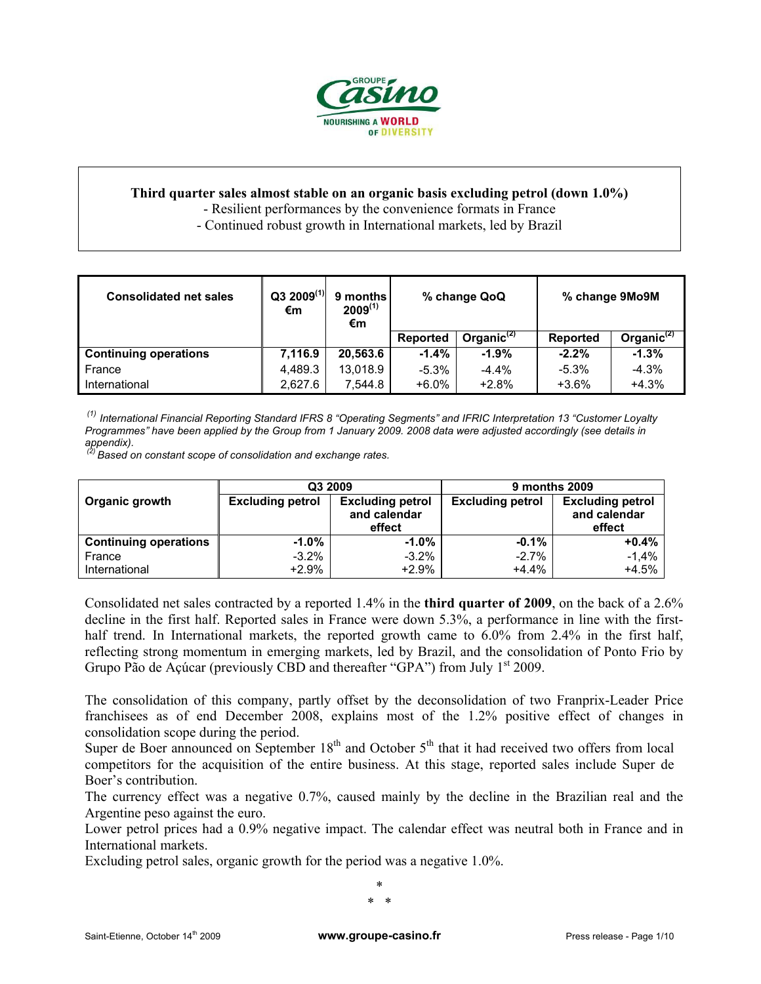

# **Third quarter sales almost stable on an organic basis excluding petrol (down 1.0%)**

- Resilient performances by the convenience formats in France

- Continued robust growth in International markets, led by Brazil

| <b>Consolidated net sales</b> | $Q3 2009^{(1)}$<br>€m | 9 months<br>$2009^{(1)}$<br>€m | % change QoQ |                  |                 | % change 9Mo9M   |
|-------------------------------|-----------------------|--------------------------------|--------------|------------------|-----------------|------------------|
|                               |                       |                                | Reported     | Organic $^{(2)}$ | <b>Reported</b> | Organic $^{(2)}$ |
| <b>Continuing operations</b>  | 7,116.9               | 20,563.6                       | $-1.4\%$     | $-1.9%$          | $-2.2%$         | $-1.3%$          |
| France                        | 4.489.3               | 13.018.9                       | $-5.3\%$     | $-4.4%$          | $-5.3\%$        | $-4.3%$          |
| International                 | 2,627.6               | 7.544.8                        | $+6.0\%$     | $+2.8%$          | $+3.6%$         | $+4.3%$          |

 *(1) International Financial Reporting Standard IFRS 8 "Operating Segments" and IFRIC Interpretation 13 "Customer Loyalty Programmes" have been applied by the Group from 1 January 2009. 2008 data were adjusted accordingly (see details in appendix).* 

 *(2) Based on constant scope of consolidation and exchange rates.* 

|                              | Q3 2009                 | 9 months 2009                                     |                         |                                                   |  |
|------------------------------|-------------------------|---------------------------------------------------|-------------------------|---------------------------------------------------|--|
| Organic growth               | <b>Excluding petrol</b> | <b>Excluding petrol</b><br>and calendar<br>effect | <b>Excluding petrol</b> | <b>Excluding petrol</b><br>and calendar<br>effect |  |
| <b>Continuing operations</b> | $-1.0\%$                | $-1.0\%$                                          | $-0.1%$                 | $+0.4%$                                           |  |
| France                       | $-3.2%$                 | $-3.2%$                                           | $-2.7%$                 | $-1.4%$                                           |  |
| International                | $+2.9%$                 | $+2.9%$                                           | $+4.4%$                 | $+4.5%$                                           |  |

Consolidated net sales contracted by a reported 1.4% in the **third quarter of 2009**, on the back of a 2.6% decline in the first half. Reported sales in France were down 5.3%, a performance in line with the firsthalf trend. In International markets, the reported growth came to 6.0% from 2.4% in the first half, reflecting strong momentum in emerging markets, led by Brazil, and the consolidation of Ponto Frio by Grupo Pão de Açúcar (previously CBD and thereafter "GPA") from July  $1<sup>st</sup>$  2009.

The consolidation of this company, partly offset by the deconsolidation of two Franprix-Leader Price franchisees as of end December 2008, explains most of the 1.2% positive effect of changes in consolidation scope during the period.

Super de Boer announced on September  $18<sup>th</sup>$  and October  $5<sup>th</sup>$  that it had received two offers from local competitors for the acquisition of the entire business. At this stage, reported sales include Super de Boer's contribution.

The currency effect was a negative 0.7%, caused mainly by the decline in the Brazilian real and the Argentine peso against the euro.

Lower petrol prices had a 0.9% negative impact. The calendar effect was neutral both in France and in International markets.

Excluding petrol sales, organic growth for the period was a negative 1.0%.

\* \* \*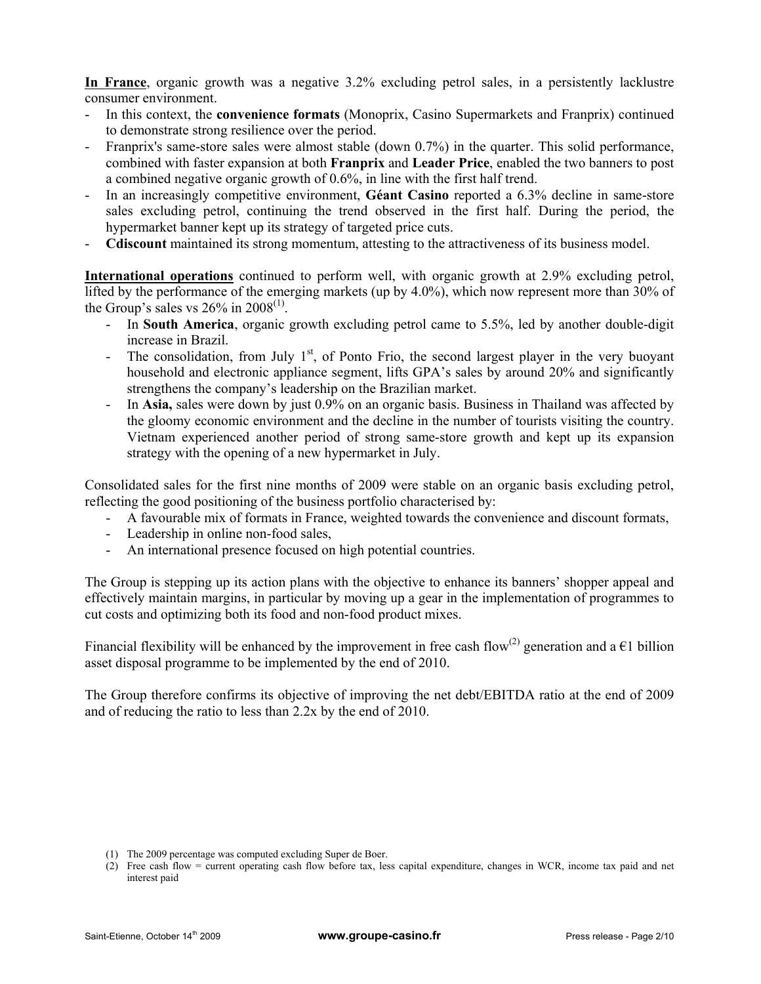**In France**, organic growth was a negative 3.2% excluding petrol sales, in a persistently lacklustre consumer environment.

- In this context, the **convenience formats** (Monoprix, Casino Supermarkets and Franprix) continued to demonstrate strong resilience over the period.
- Franprix's same-store sales were almost stable (down 0.7%) in the quarter. This solid performance, combined with faster expansion at both **Franprix** and **Leader Price**, enabled the two banners to post a combined negative organic growth of 0.6%, in line with the first half trend.
- In an increasingly competitive environment, **Géant Casino** reported a 6.3% decline in same-store sales excluding petrol, continuing the trend observed in the first half. During the period, the hypermarket banner kept up its strategy of targeted price cuts.
- **Cdiscount** maintained its strong momentum, attesting to the attractiveness of its business model.

**International operations** continued to perform well, with organic growth at 2.9% excluding petrol, lifted by the performance of the emerging markets (up by 4.0%), which now represent more than 30% of the Group's sales vs  $26\%$  in  $2008^{(1)}$ .

- In **South America**, organic growth excluding petrol came to 5.5%, led by another double-digit increase in Brazil.
- The consolidation, from July  $1<sup>st</sup>$ , of Ponto Frio, the second largest player in the very buoyant household and electronic appliance segment, lifts GPA's sales by around 20% and significantly strengthens the company's leadership on the Brazilian market.
- In **Asia,** sales were down by just 0.9% on an organic basis. Business in Thailand was affected by the gloomy economic environment and the decline in the number of tourists visiting the country. Vietnam experienced another period of strong same-store growth and kept up its expansion strategy with the opening of a new hypermarket in July.

Consolidated sales for the first nine months of 2009 were stable on an organic basis excluding petrol, reflecting the good positioning of the business portfolio characterised by:

- A favourable mix of formats in France, weighted towards the convenience and discount formats,
- Leadership in online non-food sales,
- An international presence focused on high potential countries.

The Group is stepping up its action plans with the objective to enhance its banners' shopper appeal and effectively maintain margins, in particular by moving up a gear in the implementation of programmes to cut costs and optimizing both its food and non-food product mixes.

Financial flexibility will be enhanced by the improvement in free cash flow<sup>(2)</sup> generation and a  $\in$ 1 billion asset disposal programme to be implemented by the end of 2010.

The Group therefore confirms its objective of improving the net debt/EBITDA ratio at the end of 2009 and of reducing the ratio to less than 2.2x by the end of 2010.

<sup>(1)</sup> The 2009 percentage was computed excluding Super de Boer.

<sup>(2)</sup> Free cash flow = current operating cash flow before tax, less capital expenditure, changes in WCR, income tax paid and net interest paid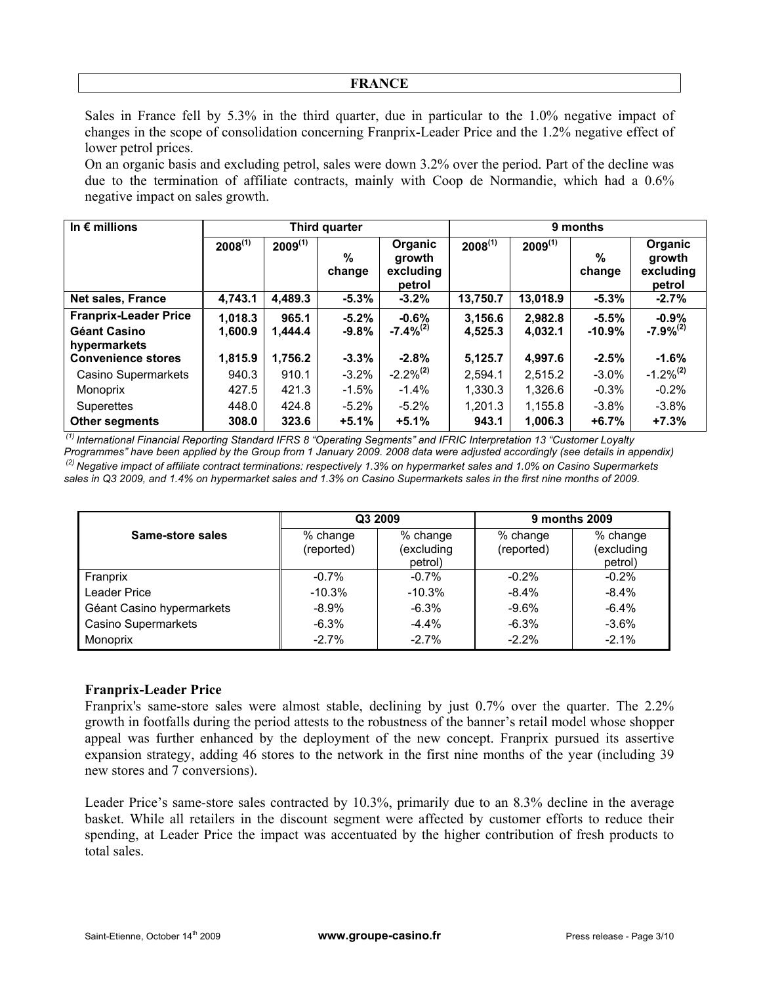#### **FRANCE**

Sales in France fell by 5.3% in the third quarter, due in particular to the 1.0% negative impact of changes in the scope of consolidation concerning Franprix-Leader Price and the 1.2% negative effect of lower petrol prices.

On an organic basis and excluding petrol, sales were down 3.2% over the period. Part of the decline was due to the termination of affiliate contracts, mainly with Coop de Normandie, which had a 0.6% negative impact on sales growth.

| In $\epsilon$ millions       |              |              | Third quarter |                                          | 9 months     |              |             |                                          |
|------------------------------|--------------|--------------|---------------|------------------------------------------|--------------|--------------|-------------|------------------------------------------|
|                              | $2008^{(1)}$ | $2009^{(1)}$ | %<br>change   | Organic<br>growth<br>excluding<br>petrol | $2008^{(1)}$ | $2009^{(1)}$ | %<br>change | Organic<br>growth<br>excluding<br>petrol |
| <b>Net sales, France</b>     | 4,743.1      | 4,489.3      | $-5.3%$       | $-3.2%$                                  | 13,750.7     | 13,018.9     | $-5.3%$     | $-2.7%$                                  |
| <b>Franprix-Leader Price</b> | 1,018.3      | 965.1        | $-5.2%$       | $-0.6%$                                  | 3,156.6      | 2,982.8      | $-5.5%$     | $-0.9%$                                  |
| Géant Casino                 | 1,600.9      | 1,444.4      | $-9.8%$       | $-7.4\%^{(2)}$                           | 4,525.3      | 4,032.1      | $-10.9\%$   | $-7.9\%^{(2)}$                           |
| hypermarkets                 |              |              |               |                                          |              |              |             |                                          |
| <b>Convenience stores</b>    | 1,815.9      | 1,756.2      | $-3.3%$       | $-2.8%$                                  | 5,125.7      | 4,997.6      | $-2.5%$     | $-1.6%$                                  |
| Casino Supermarkets          | 940.3        | 910.1        | $-3.2%$       | $-2.2\%^{(2)}$                           | 2.594.1      | 2,515.2      | $-3.0\%$    | $-1.2\%^{(2)}$                           |
| Monoprix                     | 427.5        | 421.3        | $-1.5%$       | $-1.4\%$                                 | 1.330.3      | 1,326.6      | $-0.3%$     | $-0.2%$                                  |
| Superettes                   | 448.0        | 424.8        | $-5.2%$       | $-5.2\%$                                 | 1.201.3      | 1,155.8      | $-3.8\%$    | $-3.8%$                                  |
| <b>Other segments</b>        | 308.0        | 323.6        | $+5.1%$       | $+5.1%$                                  | 943.1        | 1,006.3      | $+6.7%$     | $+7.3%$                                  |

 *(1) International Financial Reporting Standard IFRS 8 "Operating Segments" and IFRIC Interpretation 13 "Customer Loyalty Programmes" have been applied by the Group from 1 January 2009. 2008 data were adjusted accordingly (see details in appendix) (2) Negative impact of affiliate contract terminations: respectively 1.3% on hypermarket sales and 1.0% on Casino Supermarkets sales in Q3 2009, and 1.4% on hypermarket sales and 1.3% on Casino Supermarkets sales in the first nine months of 2009.*

|                            |                        | Q3 2009                           | 9 months 2009          |                                   |  |
|----------------------------|------------------------|-----------------------------------|------------------------|-----------------------------------|--|
| Same-store sales           | % change<br>(reported) | % change<br>(excluding<br>petrol) | % change<br>(reported) | % change<br>(excluding<br>petrol) |  |
| Franprix                   | $-0.7\%$               | $-0.7%$                           | $-0.2%$                | $-0.2%$                           |  |
| Leader Price               | $-10.3%$               | $-10.3%$                          | $-8.4%$                | $-8.4\%$                          |  |
| Géant Casino hypermarkets  | $-8.9%$                | $-6.3%$                           | $-9.6%$                | $-6.4%$                           |  |
| <b>Casino Supermarkets</b> | $-6.3%$                | $-4.4%$                           | $-6.3%$                | $-3.6%$                           |  |
| Monoprix                   | $-2.7%$                | $-2.7%$                           | $-2.2%$                | $-2.1%$                           |  |

## **Franprix-Leader Price**

Franprix's same-store sales were almost stable, declining by just 0.7% over the quarter. The 2.2% growth in footfalls during the period attests to the robustness of the banner's retail model whose shopper appeal was further enhanced by the deployment of the new concept. Franprix pursued its assertive expansion strategy, adding 46 stores to the network in the first nine months of the year (including 39 new stores and 7 conversions).

Leader Price's same-store sales contracted by 10.3%, primarily due to an 8.3% decline in the average basket. While all retailers in the discount segment were affected by customer efforts to reduce their spending, at Leader Price the impact was accentuated by the higher contribution of fresh products to total sales.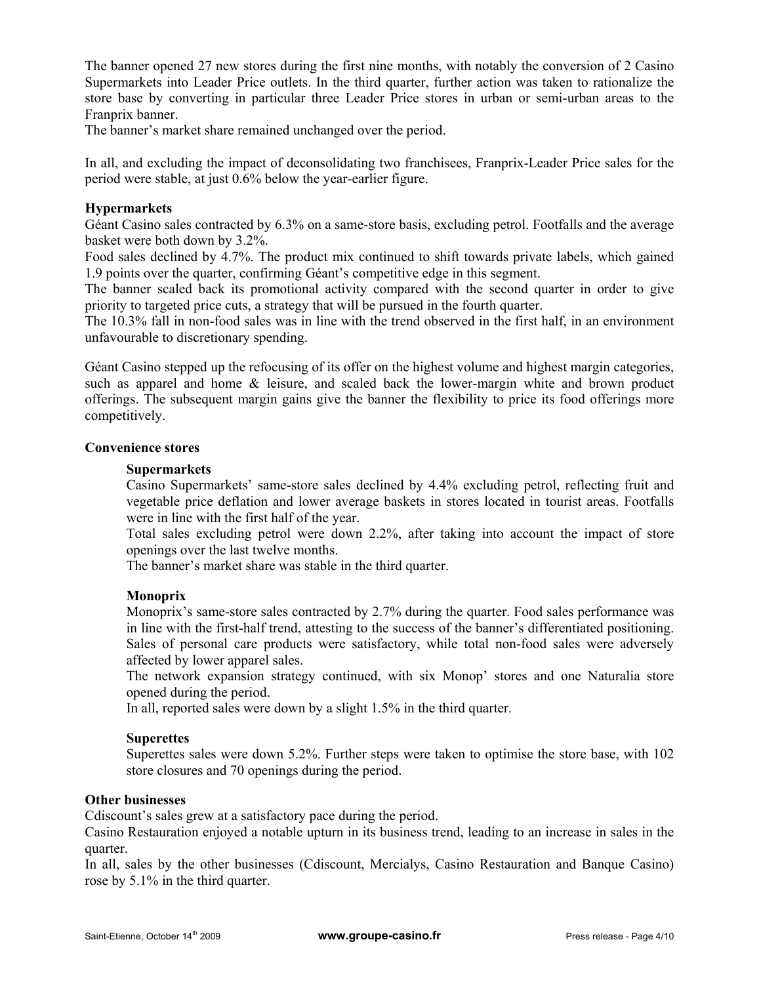The banner opened 27 new stores during the first nine months, with notably the conversion of 2 Casino Supermarkets into Leader Price outlets. In the third quarter, further action was taken to rationalize the store base by converting in particular three Leader Price stores in urban or semi-urban areas to the Franprix banner.

The banner's market share remained unchanged over the period.

In all, and excluding the impact of deconsolidating two franchisees, Franprix-Leader Price sales for the period were stable, at just 0.6% below the year-earlier figure.

# **Hypermarkets**

Géant Casino sales contracted by 6.3% on a same-store basis, excluding petrol. Footfalls and the average basket were both down by 3.2%.

Food sales declined by 4.7%. The product mix continued to shift towards private labels, which gained 1.9 points over the quarter, confirming Géant's competitive edge in this segment.

The banner scaled back its promotional activity compared with the second quarter in order to give priority to targeted price cuts, a strategy that will be pursued in the fourth quarter.

The 10.3% fall in non-food sales was in line with the trend observed in the first half, in an environment unfavourable to discretionary spending.

Géant Casino stepped up the refocusing of its offer on the highest volume and highest margin categories, such as apparel and home & leisure, and scaled back the lower-margin white and brown product offerings. The subsequent margin gains give the banner the flexibility to price its food offerings more competitively.

## **Convenience stores**

#### **Supermarkets**

Casino Supermarkets' same-store sales declined by 4.4% excluding petrol, reflecting fruit and vegetable price deflation and lower average baskets in stores located in tourist areas. Footfalls were in line with the first half of the year.

Total sales excluding petrol were down 2.2%, after taking into account the impact of store openings over the last twelve months.

The banner's market share was stable in the third quarter.

## **Monoprix**

Monoprix's same-store sales contracted by 2.7% during the quarter. Food sales performance was in line with the first-half trend, attesting to the success of the banner's differentiated positioning. Sales of personal care products were satisfactory, while total non-food sales were adversely affected by lower apparel sales.

The network expansion strategy continued, with six Monop' stores and one Naturalia store opened during the period.

In all, reported sales were down by a slight 1.5% in the third quarter.

## **Superettes**

Superettes sales were down 5.2%. Further steps were taken to optimise the store base, with 102 store closures and 70 openings during the period.

## **Other businesses**

Cdiscount's sales grew at a satisfactory pace during the period.

Casino Restauration enjoyed a notable upturn in its business trend, leading to an increase in sales in the quarter.

In all, sales by the other businesses (Cdiscount, Mercialys, Casino Restauration and Banque Casino) rose by 5.1% in the third quarter.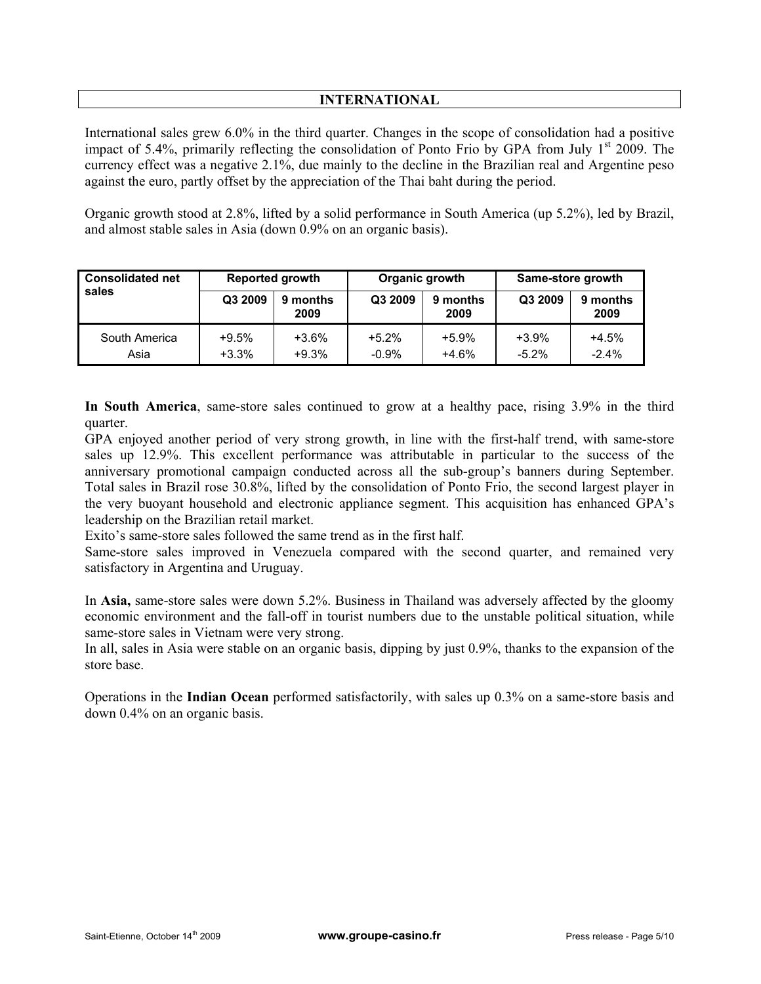# **INTERNATIONAL**

International sales grew 6.0% in the third quarter. Changes in the scope of consolidation had a positive impact of 5.4%, primarily reflecting the consolidation of Ponto Frio by GPA from July  $1<sup>st</sup>$  2009. The currency effect was a negative 2.1%, due mainly to the decline in the Brazilian real and Argentine peso against the euro, partly offset by the appreciation of the Thai baht during the period.

Organic growth stood at 2.8%, lifted by a solid performance in South America (up 5.2%), led by Brazil, and almost stable sales in Asia (down 0.9% on an organic basis).

| <b>Consolidated net</b> | <b>Reported growth</b> |                    | Organic growth     |                    | Same-store growth   |                    |
|-------------------------|------------------------|--------------------|--------------------|--------------------|---------------------|--------------------|
| sales                   | Q3 2009                | 9 months<br>2009   | Q3 2009            | 9 months<br>2009   | Q3 2009             | 9 months<br>2009   |
| South America<br>Asia   | $+9.5%$<br>$+3.3%$     | $+3.6%$<br>$+9.3%$ | $+5.2%$<br>$-0.9%$ | $+5.9%$<br>$+4.6%$ | $+3.9%$<br>$-5.2\%$ | $+4.5%$<br>$-2.4%$ |

**In South America**, same-store sales continued to grow at a healthy pace, rising 3.9% in the third quarter.

GPA enjoyed another period of very strong growth, in line with the first-half trend, with same-store sales up 12.9%. This excellent performance was attributable in particular to the success of the anniversary promotional campaign conducted across all the sub-group's banners during September. Total sales in Brazil rose 30.8%, lifted by the consolidation of Ponto Frio, the second largest player in the very buoyant household and electronic appliance segment. This acquisition has enhanced GPA's leadership on the Brazilian retail market.

Exito's same-store sales followed the same trend as in the first half.

Same-store sales improved in Venezuela compared with the second quarter, and remained very satisfactory in Argentina and Uruguay.

In **Asia,** same-store sales were down 5.2%. Business in Thailand was adversely affected by the gloomy economic environment and the fall-off in tourist numbers due to the unstable political situation, while same-store sales in Vietnam were very strong.

In all, sales in Asia were stable on an organic basis, dipping by just 0.9%, thanks to the expansion of the store base.

Operations in the **Indian Ocean** performed satisfactorily, with sales up 0.3% on a same-store basis and down 0.4% on an organic basis.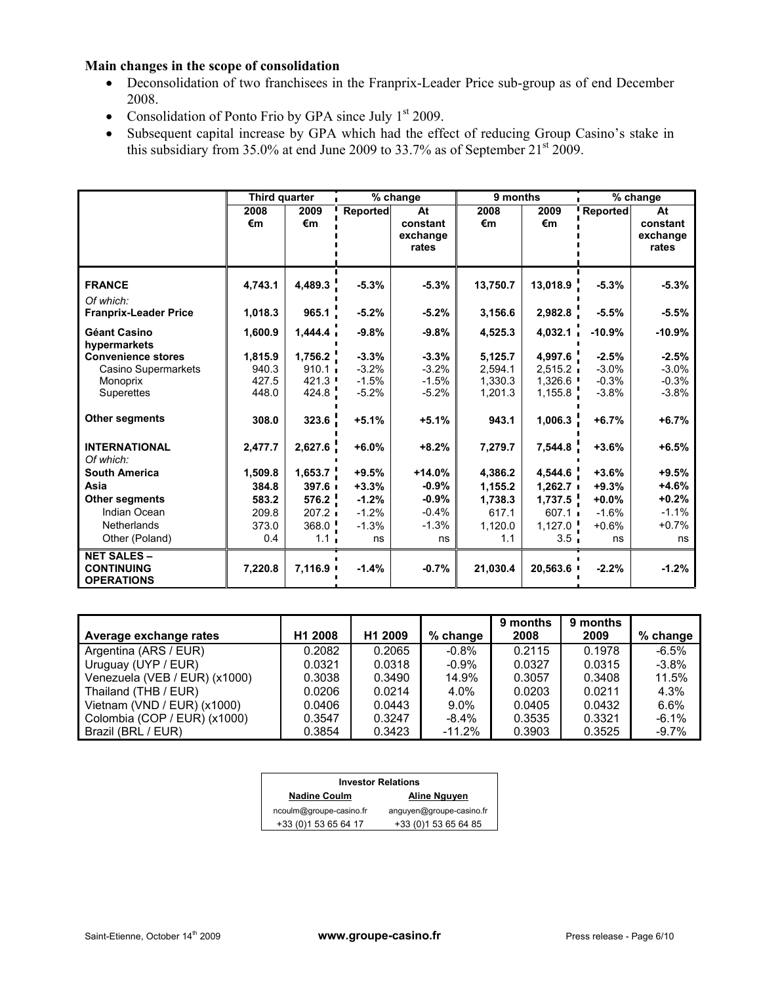## **Main changes in the scope of consolidation**

- Deconsolidation of two franchisees in the Franprix-Leader Price sub-group as of end December 2008.
- Consolidation of Ponto Frio by GPA since July  $1<sup>st</sup>$  2009.
- Subsequent capital increase by GPA which had the effect of reducing Group Casino's stake in this subsidiary from 35.0% at end June 2009 to 33.7% as of September  $21<sup>st</sup> 2009$ .

|                                                                            | Third quarter                      |                                    | % change                                 |                                          | 9 months                                 |                                          | % change                                 |                                          |
|----------------------------------------------------------------------------|------------------------------------|------------------------------------|------------------------------------------|------------------------------------------|------------------------------------------|------------------------------------------|------------------------------------------|------------------------------------------|
|                                                                            | 2008<br>€m                         | 2009<br>€m                         | <b>Reported</b>                          | At<br>constant<br>exchange<br>rates      | 2008<br>€m                               | 2009<br>€m                               | Reported                                 | At<br>constant<br>exchange<br>rates      |
| <b>FRANCE</b>                                                              | 4.743.1                            | 4.489.3                            | $-5.3%$                                  | $-5.3%$                                  | 13,750.7                                 | 13,018.9                                 | $-5.3%$                                  | $-5.3%$                                  |
| Of which:<br><b>Franprix-Leader Price</b>                                  | 1,018.3                            | 965.1                              | $-5.2%$                                  | $-5.2%$                                  | 3,156.6                                  | 2,982.8                                  | $-5.5%$                                  | $-5.5%$                                  |
| <b>Géant Casino</b><br>hypermarkets                                        | 1,600.9                            | 1,444.4                            | $-9.8%$                                  | $-9.8%$                                  | 4,525.3                                  | 4,032.1                                  | $-10.9%$                                 | $-10.9%$                                 |
| <b>Convenience stores</b><br>Casino Supermarkets<br>Monoprix<br>Superettes | 1,815.9<br>940.3<br>427.5<br>448.0 | 1,756.2<br>910.1<br>421.3<br>424.8 | $-3.3%$<br>$-3.2%$<br>$-1.5%$<br>$-5.2%$ | $-3.3%$<br>$-3.2%$<br>$-1.5%$<br>$-5.2%$ | 5,125.7<br>2,594.1<br>1,330.3<br>1,201.3 | 4,997.6<br>2,515.2<br>1,326.6<br>1,155.8 | $-2.5%$<br>$-3.0%$<br>$-0.3%$<br>$-3.8%$ | $-2.5%$<br>$-3.0%$<br>$-0.3%$<br>$-3.8%$ |
| <b>Other segments</b>                                                      | 308.0                              | 323.6                              | $+5.1%$                                  | $+5.1%$                                  | 943.1                                    | 1,006.3                                  | $+6.7%$                                  | $+6.7%$                                  |
| <b>INTERNATIONAL</b><br>Of which:                                          | 2,477.7                            | 2,627.6                            | $+6.0%$                                  | $+8.2%$                                  | 7,279.7                                  | 7,544.8                                  | $+3.6%$                                  | $+6.5%$                                  |
| <b>South America</b>                                                       | 1.509.8                            | 1,653.7                            | $+9.5%$                                  | $+14.0%$                                 | 4.386.2                                  | 4.544.6                                  | $+3.6%$                                  | $+9.5%$                                  |
| Asia                                                                       | 384.8                              | 397.6                              | $+3.3%$                                  | $-0.9%$                                  | 1,155.2                                  | 1,262.7                                  | $+9.3%$                                  | $+4.6%$                                  |
| <b>Other segments</b>                                                      | 583.2                              | 576.2                              | $-1.2%$                                  | $-0.9%$                                  | 1,738.3                                  | 1,737.5                                  | $+0.0%$                                  | $+0.2%$                                  |
| Indian Ocean                                                               | 209.8                              | 207.2                              | $-1.2%$                                  | $-0.4%$                                  | 617.1                                    | 607.1                                    | $-1.6%$                                  | $-1.1%$                                  |
| <b>Netherlands</b><br>Other (Poland)                                       | 373.0<br>0.4                       | 368.0<br>1.1 <sub>1</sub>          | $-1.3%$<br>ns                            | $-1.3%$<br>ns                            | 1,120.0<br>1.1                           | 1,127.0<br>3.5                           | $+0.6%$<br>ns                            | $+0.7%$<br>ns                            |
| <b>NET SALES -</b><br><b>CONTINUING</b><br><b>OPERATIONS</b>               | 7,220.8                            | 7,116.9                            | $-1.4%$                                  | $-0.7%$                                  | 21,030.4                                 | 20,563.6                                 | $-2.2%$                                  | $-1.2%$                                  |

| Average exchange rates        | H1 2008 | H <sub>1</sub> 2009 | % change | 9 months<br>2008 | 9 months<br>2009 | % change |
|-------------------------------|---------|---------------------|----------|------------------|------------------|----------|
| Argentina (ARS / EUR)         | 0.2082  | 0.2065              | $-0.8\%$ | 0.2115           | 0.1978           | $-6.5%$  |
| Uruguay (UYP / EUR)           | 0.0321  | 0.0318              | $-0.9%$  | 0.0327           | 0.0315           | $-3.8%$  |
| Venezuela (VEB / EUR) (x1000) | 0.3038  | 0.3490              | 14.9%    | 0.3057           | 0.3408           | 11.5%    |
| Thailand (THB / EUR)          | 0.0206  | 0.0214              | 4.0%     | 0.0203           | 0.0211           | 4.3%     |
| Vietnam (VND / EUR) $(x1000)$ | 0.0406  | 0.0443              | $9.0\%$  | 0.0405           | 0.0432           | 6.6%     |
| Colombia (COP / EUR) (x1000)  | 0.3547  | 0.3247              | $-8.4\%$ | 0.3535           | 0.3321           | $-6.1%$  |
| Brazil (BRL / EUR)            | 0.3854  | 0.3423              | $-11.2%$ | 0.3903           | 0.3525           | $-9.7\%$ |

| <b>Investor Relations</b> |                          |  |  |  |  |  |
|---------------------------|--------------------------|--|--|--|--|--|
| <b>Nadine Coulm</b>       | Aline Nguyen             |  |  |  |  |  |
| ncoulm@groupe-casino.fr   | anguyen@groupe-casino.fr |  |  |  |  |  |
| +33 (0) 1 53 65 64 17     | +33 (0) 1 53 65 64 85    |  |  |  |  |  |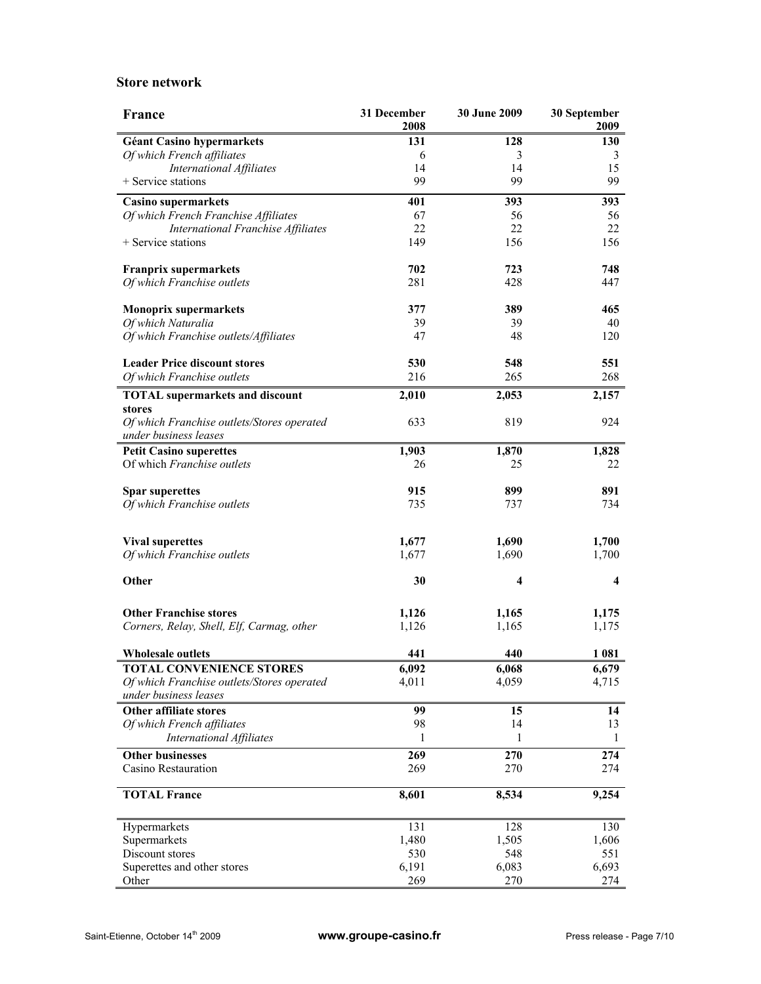#### **Store network**

| France                                                              | 31 December<br>2008 | 30 June 2009 | 30 September<br>2009 |
|---------------------------------------------------------------------|---------------------|--------------|----------------------|
| <b>Géant Casino hypermarkets</b>                                    | 131                 | 128          | 130                  |
| Of which French affiliates                                          | 6                   | 3            | 3                    |
| <b>International Affiliates</b>                                     | 14                  | 14           | 15                   |
| + Service stations                                                  | 99                  | 99           | 99                   |
| Casino supermarkets                                                 | 401                 | 393          | 393                  |
| Of which French Franchise Affiliates                                | 67                  | 56           | 56                   |
| <b>International Franchise Affiliates</b>                           | 22                  | 22           | 22                   |
| + Service stations                                                  | 149                 | 156          | 156                  |
| <b>Franprix supermarkets</b>                                        | 702                 | 723          | 748                  |
| Of which Franchise outlets                                          | 281                 | 428          | 447                  |
| <b>Monoprix supermarkets</b>                                        | 377                 | 389          | 465                  |
| Of which Naturalia                                                  | 39                  | 39           | 40                   |
| Of which Franchise outlets/Affiliates                               | 47                  | 48           | 120                  |
|                                                                     |                     |              |                      |
| <b>Leader Price discount stores</b>                                 | 530                 | 548          | 551                  |
| Of which Franchise outlets                                          | 216                 | 265          | 268                  |
| <b>TOTAL</b> supermarkets and discount                              | 2,010               | 2,053        | 2,157                |
| stores                                                              |                     |              |                      |
| Of which Franchise outlets/Stores operated<br>under business leases | 633                 | 819          | 924                  |
| <b>Petit Casino superettes</b>                                      | 1,903               | 1,870        | 1,828                |
| Of which Franchise outlets                                          | 26                  | 25           | 22                   |
|                                                                     |                     |              |                      |
| <b>Spar superettes</b>                                              | 915                 | 899          | 891                  |
| Of which Franchise outlets                                          | 735                 | 737          | 734                  |
|                                                                     |                     |              |                      |
| <b>Vival superettes</b>                                             | 1,677               | 1,690        | 1,700                |
| Of which Franchise outlets                                          | 1,677               | 1,690        | 1,700                |
| Other                                                               | 30                  | 4            | 4                    |
| <b>Other Franchise stores</b>                                       | 1,126               | 1,165        | 1,175                |
| Corners, Relay, Shell, Elf, Carmag, other                           | 1,126               | 1,165        | 1,175                |
|                                                                     |                     |              |                      |
| <b>Wholesale outlets</b>                                            | 441                 | 440          | 1 0 8 1              |
| <b>TOTAL CONVENIENCE STORES</b>                                     | 6,092               | 6,068        | 6,679                |
| Of which Franchise outlets/Stores operated<br>under business leases | 4,011               | 4,059        | 4,715                |
| <b>Other affiliate stores</b>                                       | 99                  | 15           | 14                   |
| Of which French affiliates                                          | 98                  | 14           | 13                   |
| <b>International Affiliates</b>                                     | 1                   | 1            | 1                    |
| <b>Other businesses</b>                                             | 269                 | 270          | 274                  |
| Casino Restauration                                                 | 269                 | 270          | 274                  |
| <b>TOTAL France</b>                                                 | 8,601               | 8,534        | 9,254                |
| Hypermarkets                                                        | 131                 | 128          | 130                  |
| Supermarkets                                                        | 1,480               | 1,505        | 1,606                |
| Discount stores                                                     | 530                 | 548          | 551                  |
| Superettes and other stores                                         | 6,191               | 6,083        | 6,693                |
| Other                                                               | 269                 | 270          | 274                  |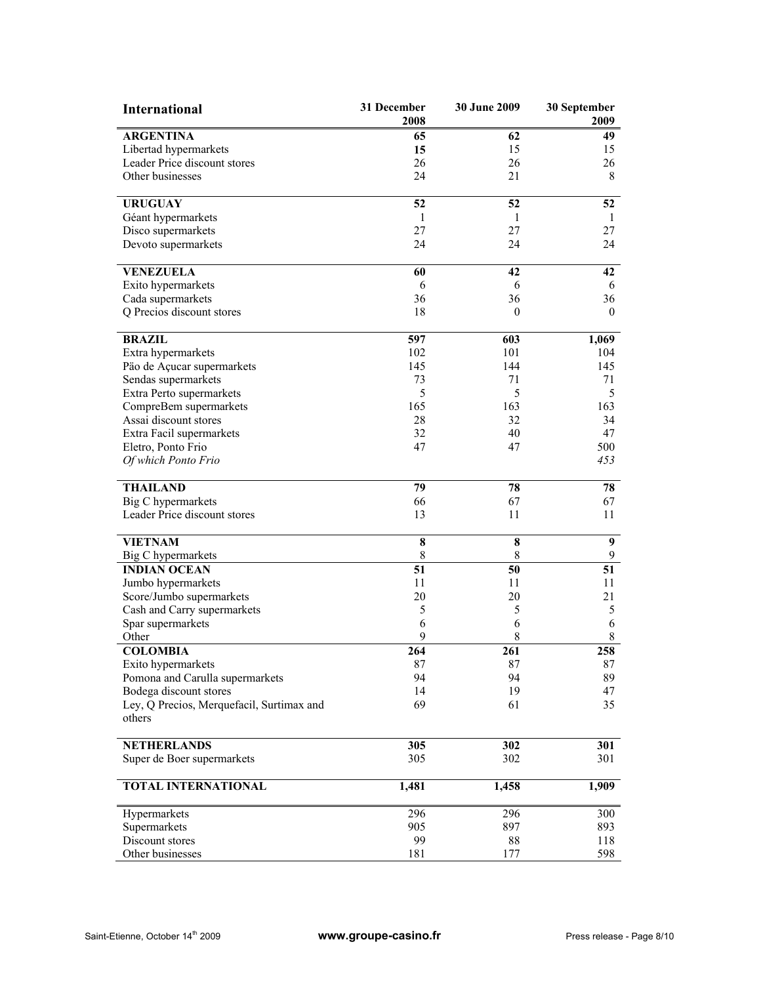| <b>International</b>                                  | 31 December<br>2008 | 30 June 2009 | 30 September<br>2009 |
|-------------------------------------------------------|---------------------|--------------|----------------------|
| <b>ARGENTINA</b>                                      | 65                  | 62           | 49                   |
| Libertad hypermarkets                                 | 15                  | 15           | 15                   |
| Leader Price discount stores                          | 26                  | 26           | 26                   |
| Other businesses                                      | 24                  | 21           | 8                    |
|                                                       |                     |              |                      |
| <b>URUGUAY</b>                                        | 52                  | 52           | 52                   |
| Géant hypermarkets                                    | 1                   | 1            | 1                    |
| Disco supermarkets                                    | 27                  | 27           | 27                   |
| Devoto supermarkets                                   | 24                  | 24           | 24                   |
| <b>VENEZUELA</b>                                      | 60                  | 42           | 42                   |
| Exito hypermarkets                                    | 6                   | 6            | 6                    |
| Cada supermarkets                                     | 36                  | 36           | 36                   |
| Q Precios discount stores                             | 18                  | $\mathbf{0}$ | $\mathbf{0}$         |
|                                                       |                     |              |                      |
| <b>BRAZIL</b>                                         | 597                 | 603          | 1,069                |
| Extra hypermarkets                                    | 102                 | 101          | 104                  |
| Päo de Açucar supermarkets                            | 145                 | 144          | 145                  |
| Sendas supermarkets                                   | 73                  | 71           | 71                   |
| Extra Perto supermarkets                              | 5                   | 5            | 5                    |
| CompreBem supermarkets                                | 165                 | 163          | 163                  |
| Assai discount stores                                 | 28                  | 32           | 34                   |
| Extra Facil supermarkets                              | 32                  | 40           | 47                   |
| Eletro, Ponto Frio                                    | 47                  | 47           | 500                  |
| Of which Ponto Frio                                   |                     |              | 453                  |
| <b>THAILAND</b>                                       | 79                  | 78           | 78                   |
| <b>Big C</b> hypermarkets                             | 66                  | 67           | 67                   |
| Leader Price discount stores                          | 13                  | 11           | 11                   |
|                                                       |                     |              |                      |
| <b>VIETNAM</b>                                        | $\bf 8$             | $\bf 8$      | $\boldsymbol{9}$     |
| <b>Big C</b> hypermarkets                             | $\,$ 8 $\,$         | $\,8\,$      | 9                    |
| <b>INDIAN OCEAN</b>                                   | 51                  | 50           | 51                   |
| Jumbo hypermarkets                                    | 11                  | 11           | 11                   |
| Score/Jumbo supermarkets                              | 20                  | 20           | 21                   |
| Cash and Carry supermarkets                           | 5                   | 5            | 5                    |
| Spar supermarkets                                     | 6                   | 6            | 6                    |
| Other                                                 | 9                   | 8            | $\,8\,$              |
| <b>COLOMBIA</b>                                       | 264                 | 261          | 258                  |
| Exito hypermarkets<br>Pomona and Carulla supermarkets | 87<br>94            | 87<br>94     | 87<br>89             |
| Bodega discount stores                                | 14                  | 19           | 47                   |
| Ley, Q Precios, Merquefacil, Surtimax and             | 69                  | 61           | 35                   |
| others                                                |                     |              |                      |
|                                                       |                     |              |                      |
| <b>NETHERLANDS</b>                                    | 305                 | 302          | 301                  |
| Super de Boer supermarkets                            | 305                 | 302          | 301                  |
| TOTAL INTERNATIONAL                                   | 1,481               | 1,458        | 1,909                |
| Hypermarkets                                          | 296                 | 296          | 300                  |
| Supermarkets                                          | 905                 | 897          | 893                  |
| Discount stores                                       | 99                  | 88           | 118                  |
| Other businesses                                      | 181                 | 177          | 598                  |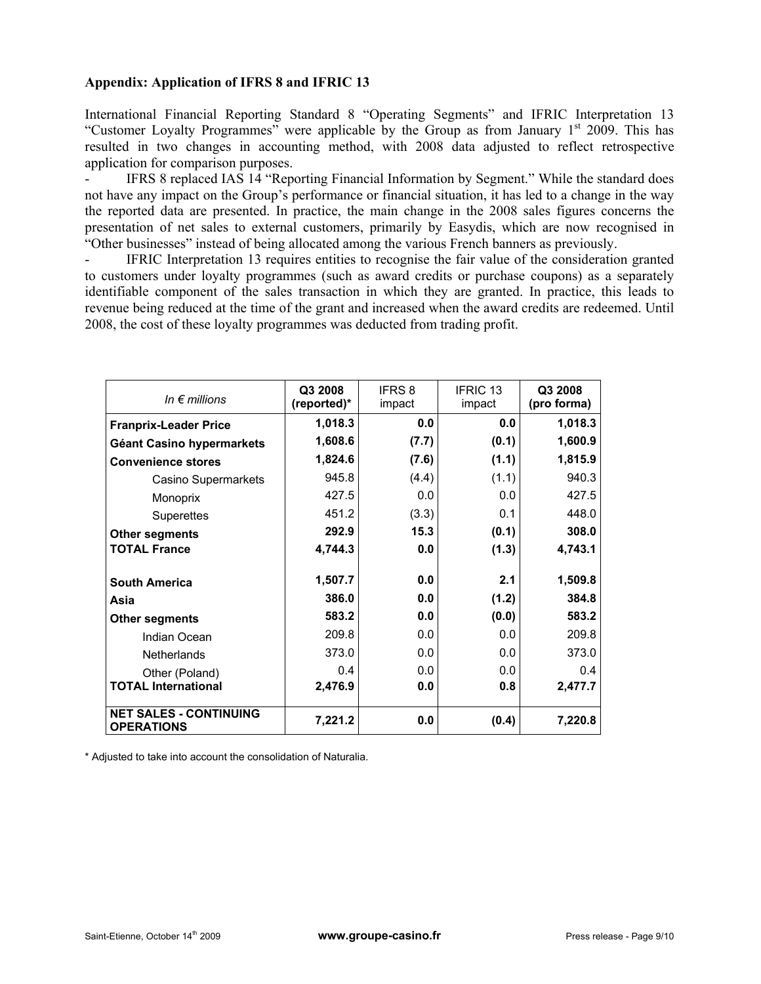# **Appendix: Application of IFRS 8 and IFRIC 13**

International Financial Reporting Standard 8 "Operating Segments" and IFRIC Interpretation 13 "Customer Loyalty Programmes" were applicable by the Group as from January  $1<sup>st</sup>$  2009. This has resulted in two changes in accounting method, with 2008 data adjusted to reflect retrospective application for comparison purposes.

IFRS 8 replaced IAS 14 "Reporting Financial Information by Segment." While the standard does not have any impact on the Group's performance or financial situation, it has led to a change in the way the reported data are presented. In practice, the main change in the 2008 sales figures concerns the presentation of net sales to external customers, primarily by Easydis, which are now recognised in "Other businesses" instead of being allocated among the various French banners as previously.

IFRIC Interpretation 13 requires entities to recognise the fair value of the consideration granted to customers under loyalty programmes (such as award credits or purchase coupons) as a separately identifiable component of the sales transaction in which they are granted. In practice, this leads to revenue being reduced at the time of the grant and increased when the award credits are redeemed. Until 2008, the cost of these loyalty programmes was deducted from trading profit.

| In $\epsilon$ millions                             | Q3 2008<br>(reported)* | <b>IFRS 8</b><br>impact | <b>IFRIC 13</b><br>impact | Q3 2008<br>(pro forma) |
|----------------------------------------------------|------------------------|-------------------------|---------------------------|------------------------|
| <b>Franprix-Leader Price</b>                       | 1,018.3                | 0.0                     | 0.0                       | 1,018.3                |
| Géant Casino hypermarkets                          | 1,608.6                | (7.7)                   | (0.1)                     | 1,600.9                |
| <b>Convenience stores</b>                          | 1,824.6                | (7.6)                   | (1.1)                     | 1,815.9                |
| Casino Supermarkets                                | 945.8                  | (4.4)                   | (1.1)                     | 940.3                  |
| Monoprix                                           | 427.5                  | 0.0                     | 0.0                       | 427.5                  |
| <b>Superettes</b>                                  | 451.2                  | (3.3)                   | 0.1                       | 448.0                  |
| <b>Other segments</b>                              | 292.9                  | 15.3                    | (0.1)                     | 308.0                  |
| <b>TOTAL France</b>                                | 4,744.3                | 0.0                     | (1.3)                     | 4,743.1                |
| <b>South America</b>                               | 1,507.7                | 0.0                     | 2.1                       | 1,509.8                |
| Asia                                               | 386.0                  | 0.0                     | (1.2)                     | 384.8                  |
| Other segments                                     | 583.2                  | 0.0                     | (0.0)                     | 583.2                  |
| Indian Ocean                                       | 209.8                  | 0.0                     | 0.0                       | 209.8                  |
| <b>Netherlands</b>                                 | 373.0                  | 0.0                     | 0.0                       | 373.0                  |
| Other (Poland)                                     | 0.4                    | 0.0                     | 0.0                       | 0.4                    |
| <b>TOTAL International</b>                         | 2,476.9                | 0.0                     | 0.8                       | 2,477.7                |
| <b>NET SALES - CONTINUING</b><br><b>OPERATIONS</b> | 7,221.2                | 0.0                     | (0.4)                     | 7,220.8                |

\* Adjusted to take into account the consolidation of Naturalia.